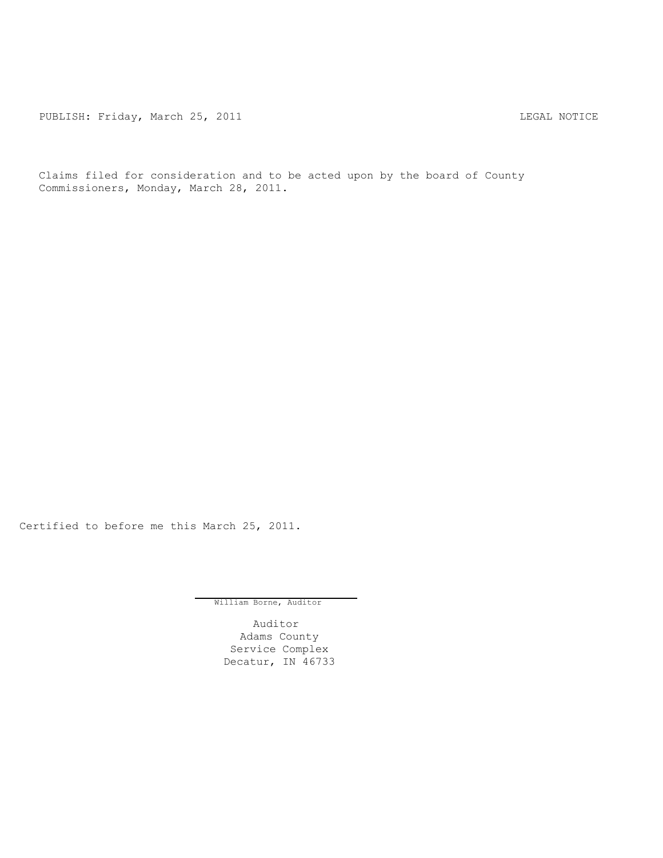PUBLISH: Friday, March 25, 2011 CHARL STATES AND THE MOTICE

Claims filed for consideration and to be acted upon by the board of County Commissioners, Monday, March 28, 2011.

Certified to before me this March 25, 2011.

William Borne, Auditor

Auditor Adams County Service Complex Decatur, IN 46733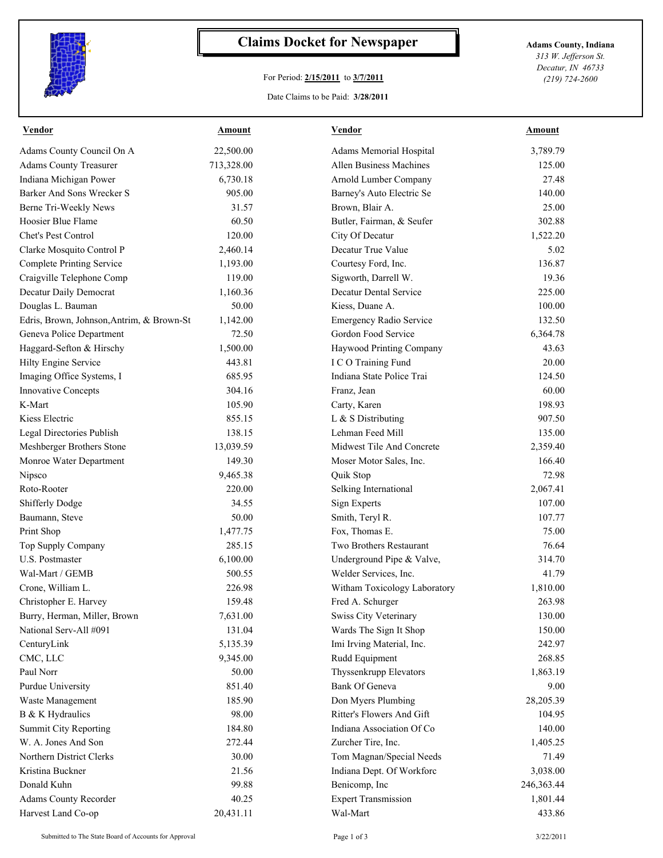

## **Claims Docket for Newspaper Adams County, Indiana**

## For Period: **2/15/2011** to **3/7/2011**

*313 W. Jefferson St. Decatur, IN 46733 (219) 724-2600*

Date Claims to be Paid: **3/28/2011**

| <b>Vendor</b>                             | <b>Amount</b> | <b>Vendor</b>                  | <b>Amount</b> |
|-------------------------------------------|---------------|--------------------------------|---------------|
| Adams County Council On A                 | 22,500.00     | Adams Memorial Hospital        | 3,789.79      |
| <b>Adams County Treasurer</b>             | 713,328.00    | <b>Allen Business Machines</b> | 125.00        |
| Indiana Michigan Power                    | 6,730.18      | Arnold Lumber Company          | 27.48         |
| Barker And Sons Wrecker S                 | 905.00        | Barney's Auto Electric Se      | 140.00        |
| Berne Tri-Weekly News                     | 31.57         | Brown, Blair A.                | 25.00         |
| Hoosier Blue Flame                        | 60.50         | Butler, Fairman, & Seufer      | 302.88        |
| Chet's Pest Control                       | 120.00        | City Of Decatur                | 1,522.20      |
| Clarke Mosquito Control P                 | 2,460.14      | Decatur True Value             | 5.02          |
| <b>Complete Printing Service</b>          | 1,193.00      | Courtesy Ford, Inc.            | 136.87        |
| Craigville Telephone Comp                 | 119.00        | Sigworth, Darrell W.           | 19.36         |
| Decatur Daily Democrat                    | 1,160.36      | Decatur Dental Service         | 225.00        |
| Douglas L. Bauman                         | 50.00         | Kiess, Duane A.                | 100.00        |
| Edris, Brown, Johnson, Antrim, & Brown-St | 1,142.00      | Emergency Radio Service        | 132.50        |
| Geneva Police Department                  | 72.50         | Gordon Food Service            | 6,364.78      |
| Haggard-Sefton & Hirschy                  | 1,500.00      | Haywood Printing Company       | 43.63         |
| Hilty Engine Service                      | 443.81        | I C O Training Fund            | 20.00         |
| Imaging Office Systems, I                 | 685.95        | Indiana State Police Trai      | 124.50        |
| <b>Innovative Concepts</b>                | 304.16        | Franz, Jean                    | 60.00         |
| K-Mart                                    | 105.90        | Carty, Karen                   | 198.93        |
| Kiess Electric                            | 855.15        | L & S Distributing             | 907.50        |
| Legal Directories Publish                 | 138.15        | Lehman Feed Mill               | 135.00        |
| Meshberger Brothers Stone                 | 13,039.59     | Midwest Tile And Concrete      | 2,359.40      |
| Monroe Water Department                   | 149.30        | Moser Motor Sales, Inc.        | 166.40        |
| Nipsco                                    | 9,465.38      | Quik Stop                      | 72.98         |
| Roto-Rooter                               | 220.00        | Selking International          | 2,067.41      |
| <b>Shifferly Dodge</b>                    | 34.55         | <b>Sign Experts</b>            | 107.00        |
| Baumann, Steve                            | 50.00         | Smith, Teryl R.                | 107.77        |
| Print Shop                                | 1,477.75      | Fox, Thomas E.                 | 75.00         |
| Top Supply Company                        | 285.15        | Two Brothers Restaurant        | 76.64         |
| U.S. Postmaster                           | 6,100.00      | Underground Pipe & Valve,      | 314.70        |
| Wal-Mart / GEMB                           | 500.55        | Welder Services, Inc.          | 41.79         |
| Crone, William L.                         | 226.98        | Witham Toxicology Laboratory   | 1,810.00      |
| Christopher E. Harvey                     | 159.48        | Fred A. Schurger               | 263.98        |
| Burry, Herman, Miller, Brown              | 7,631.00      | <b>Swiss City Veterinary</b>   | 130.00        |
| National Serv-All #091                    | 131.04        | Wards The Sign It Shop         | 150.00        |
| CenturyLink                               | 5,135.39      | Imi Irving Material, Inc.      | 242.97        |
| CMC, LLC                                  | 9,345.00      | Rudd Equipment                 | 268.85        |
| Paul Norr                                 | 50.00         | Thyssenkrupp Elevators         | 1,863.19      |
| Purdue University                         | 851.40        | Bank Of Geneva                 | 9.00          |
| Waste Management                          | 185.90        | Don Myers Plumbing             | 28,205.39     |
| B & K Hydraulics                          | 98.00         | Ritter's Flowers And Gift      | 104.95        |
| <b>Summit City Reporting</b>              | 184.80        | Indiana Association Of Co      | 140.00        |
| W. A. Jones And Son                       | 272.44        | Zurcher Tire, Inc.             |               |
|                                           |               |                                | 1,405.25      |
| Northern District Clerks                  | 30.00         | Tom Magnan/Special Needs       | 71.49         |
| Kristina Buckner                          | 21.56         | Indiana Dept. Of Workforc      | 3,038.00      |
| Donald Kuhn                               | 99.88         | Benicomp, Inc                  | 246,363.44    |
| <b>Adams County Recorder</b>              | 40.25         | <b>Expert Transmission</b>     | 1,801.44      |
| Harvest Land Co-op                        | 20,431.11     | Wal-Mart                       | 433.86        |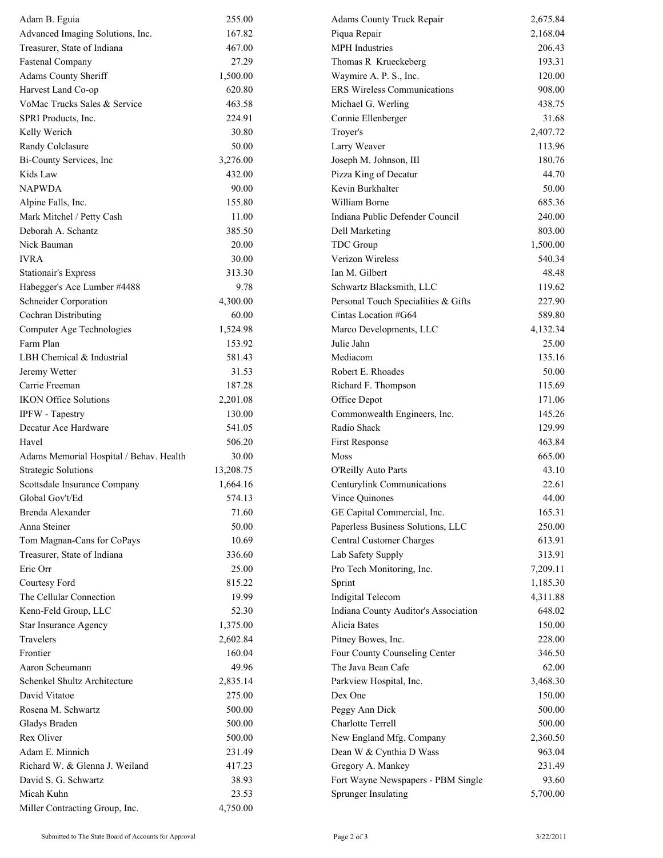| Adam B. Eguia                           | 255.00    | Adams County Truck Repair            | 2,675.84 |
|-----------------------------------------|-----------|--------------------------------------|----------|
| Advanced Imaging Solutions, Inc.        | 167.82    | Piqua Repair                         | 2,168.04 |
| Treasurer, State of Indiana             | 467.00    | MPH Industries                       | 206.43   |
| <b>Fastenal Company</b>                 | 27.29     | Thomas R Krueckeberg                 | 193.31   |
| Adams County Sheriff                    | 1,500.00  | Waymire A. P. S., Inc.               | 120.00   |
| Harvest Land Co-op                      | 620.80    | <b>ERS Wireless Communications</b>   | 908.00   |
| VoMac Trucks Sales & Service            | 463.58    | Michael G. Werling                   | 438.75   |
| SPRI Products, Inc.                     | 224.91    | Connie Ellenberger                   | 31.68    |
| Kelly Werich                            | 30.80     | Troyer's                             | 2,407.72 |
| Randy Colclasure                        | 50.00     | Larry Weaver                         | 113.96   |
| Bi-County Services, Inc                 | 3,276.00  | Joseph M. Johnson, III               | 180.76   |
| Kids Law                                | 432.00    | Pizza King of Decatur                | 44.70    |
| <b>NAPWDA</b>                           | 90.00     | Kevin Burkhalter                     | 50.00    |
| Alpine Falls, Inc.                      | 155.80    | William Borne                        | 685.36   |
| Mark Mitchel / Petty Cash               | 11.00     | Indiana Public Defender Council      | 240.00   |
| Deborah A. Schantz                      | 385.50    | Dell Marketing                       | 803.00   |
| Nick Bauman                             | 20.00     | TDC Group                            | 1,500.00 |
| <b>IVRA</b>                             | 30.00     | Verizon Wireless                     | 540.34   |
| Stationair's Express                    | 313.30    | Ian M. Gilbert                       | 48.48    |
| Habegger's Ace Lumber #4488             | 9.78      | Schwartz Blacksmith, LLC             | 119.62   |
| Schneider Corporation                   | 4,300.00  | Personal Touch Specialities & Gifts  | 227.90   |
| Cochran Distributing                    | 60.00     | Cintas Location #G64                 | 589.80   |
| Computer Age Technologies               | 1,524.98  | Marco Developments, LLC              | 4,132.34 |
| Farm Plan                               | 153.92    | Julie Jahn                           | 25.00    |
| LBH Chemical & Industrial               | 581.43    | Mediacom                             | 135.16   |
| Jeremy Wetter                           | 31.53     | Robert E. Rhoades                    | 50.00    |
| Carrie Freeman                          | 187.28    | Richard F. Thompson                  | 115.69   |
| <b>IKON Office Solutions</b>            | 2,201.08  | Office Depot                         | 171.06   |
| IPFW - Tapestry                         | 130.00    | Commonwealth Engineers, Inc.         | 145.26   |
| Decatur Ace Hardware                    | 541.05    | Radio Shack                          | 129.99   |
| Havel                                   | 506.20    | First Response                       | 463.84   |
| Adams Memorial Hospital / Behav. Health | 30.00     | Moss                                 | 665.00   |
| <b>Strategic Solutions</b>              | 13,208.75 | O'Reilly Auto Parts                  | 43.10    |
| Scottsdale Insurance Company            | 1,664.16  | Centurylink Communications           | 22.61    |
| Global Gov't/Ed                         | 574.13    | Vince Quinones                       | 44.00    |
| Brenda Alexander                        | 71.60     | GE Capital Commercial, Inc.          | 165.31   |
| Anna Steiner                            | 50.00     | Paperless Business Solutions, LLC    | 250.00   |
| Tom Magnan-Cans for CoPays              | 10.69     | <b>Central Customer Charges</b>      | 613.91   |
| Treasurer, State of Indiana             | 336.60    | Lab Safety Supply                    | 313.91   |
| Eric Orr                                | 25.00     | Pro Tech Monitoring, Inc.            | 7,209.11 |
| Courtesy Ford                           | 815.22    | Sprint                               | 1,185.30 |
| The Cellular Connection                 | 19.99     | Indigital Telecom                    | 4,311.88 |
| Kenn-Feld Group, LLC                    | 52.30     | Indiana County Auditor's Association | 648.02   |
| Star Insurance Agency                   | 1,375.00  | Alicia Bates                         | 150.00   |
| Travelers                               | 2,602.84  | Pitney Bowes, Inc.                   | 228.00   |
| Frontier                                | 160.04    | Four County Counseling Center        | 346.50   |
| Aaron Scheumann                         | 49.96     | The Java Bean Cafe                   | 62.00    |
| Schenkel Shultz Architecture            | 2,835.14  | Parkview Hospital, Inc.              | 3,468.30 |
| David Vitatoe                           | 275.00    | Dex One                              | 150.00   |
| Rosena M. Schwartz                      | 500.00    | Peggy Ann Dick                       | 500.00   |
| Gladys Braden                           | 500.00    | Charlotte Terrell                    | 500.00   |
| Rex Oliver                              | 500.00    | New England Mfg. Company             | 2,360.50 |
| Adam E. Minnich                         | 231.49    | Dean W & Cynthia D Wass              | 963.04   |
| Richard W. & Glenna J. Weiland          | 417.23    | Gregory A. Mankey                    | 231.49   |
| David S. G. Schwartz                    | 38.93     | Fort Wayne Newspapers - PBM Single   | 93.60    |
| Micah Kuhn                              | 23.53     | Sprunger Insulating                  | 5,700.00 |
| Miller Contracting Group, Inc.          | 4,750.00  |                                      |          |